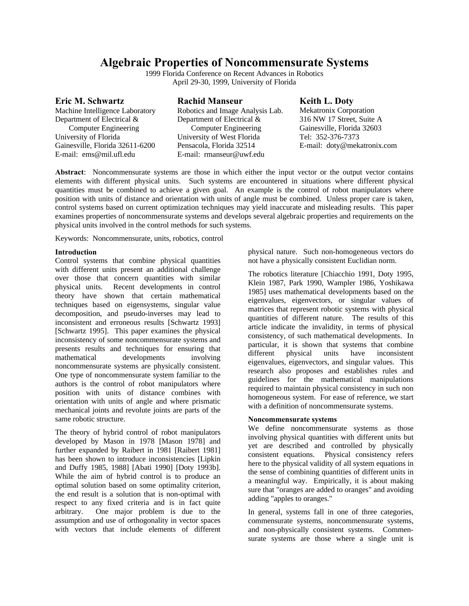# **Algebraic Properties of Noncommensurate Systems**

1999 Florida Conference on Recent Advances in Robotics April 29-30, 1999, University of Florida

|  | Eric M. Schwartz                               |  |
|--|------------------------------------------------|--|
|  | $M = 1$ , $\ldots$ $I = 11$ , $\ldots$ $I = 1$ |  |

Machine Intelligence Laboratory Department of Electrical &

Computer Engineering University of Florida Gainesville, Florida 32611-6200 E-mail: ems@mil.ufl.edu

Robotics and Image Analysis Lab. Department of Electrical & Computer Engineering University of West Florida Pensacola, Florida 32514 E-mail: rmanseur@uwf.edu

**Rachid Manseur**

# **Keith L. Doty**

Mekatronix Corporation 316 NW 17 Street, Suite A Gainesville, Florida 32603 Tel: 352-376-7373 E-mail: doty@mekatronix.com

**Abstract**: Noncommensurate systems are those in which either the input vector or the output vector contains elements with different physical units. Such systems are encountered in situations where different physical quantities must be combined to achieve a given goal. An example is the control of robot manipulators where position with units of distance and orientation with units of angle must be combined. Unless proper care is taken, control systems based on current optimization techniques may yield inaccurate and misleading results. This paper examines properties of noncommensurate systems and develops several algebraic properties and requirements on the physical units involved in the control methods for such systems.

Keywords: Noncommensurate, units, robotics, control

### **Introduction**

Control systems that combine physical quantities with different units present an additional challenge over those that concern quantities with similar physical units. Recent developments in control theory have shown that certain mathematical techniques based on eigensystems, singular value decomposition, and pseudo-inverses may lead to inconsistent and erroneous results [Schwartz 1993] [Schwartz 1995]. This paper examines the physical inconsistency of some noncommensurate systems and presents results and techniques for ensuring that mathematical developments involving noncommensurate systems are physically consistent. One type of noncommensurate system familiar to the authors is the control of robot manipulators where position with units of distance combines with orientation with units of angle and where prismatic mechanical joints and revolute joints are parts of the same robotic structure.

The theory of hybrid control of robot manipulators developed by Mason in 1978 [Mason 1978] and further expanded by Raibert in 1981 [Raibert 1981] has been shown to introduce inconsistencies [Lipkin and Duffy 1985, 1988] [Abati 1990] [Doty 1993b]. While the aim of hybrid control is to produce an optimal solution based on some optimality criterion, the end result is a solution that is non-optimal with respect to any fixed criteria and is in fact quite arbitrary. One major problem is due to the assumption and use of orthogonality in vector spaces with vectors that include elements of different

physical nature. Such non-homogeneous vectors do not have a physically consistent Euclidian norm.

The robotics literature [Chiacchio 1991, Doty 1995, Klein 1987, Park 1990, Wampler 1986, Yoshikawa 1985] uses mathematical developments based on the eigenvalues, eigenvectors, or singular values of matrices that represent robotic systems with physical quantities of different nature. The results of this article indicate the invalidity, in terms of physical consistency, of such mathematical developments. In particular, it is shown that systems that combine different physical units have inconsistent eigenvalues, eigenvectors, and singular values. This research also proposes and establishes rules and guidelines for the mathematical manipulations required to maintain physical consistency in such non homogeneous system. For ease of reference, we start with a definition of noncommensurate systems.

### **Noncommensurate systems**

We define noncommensurate systems as those involving physical quantities with different units but yet are described and controlled by physically consistent equations. Physical consistency refers here to the physical validity of all system equations in the sense of combining quantities of different units in a meaningful way. Empirically, it is about making sure that "oranges are added to oranges" and avoiding adding "apples to oranges."

In general, systems fall in one of three categories, commensurate systems, noncommensurate systems, and non-physically consistent systems. Commensurate systems are those where a single unit is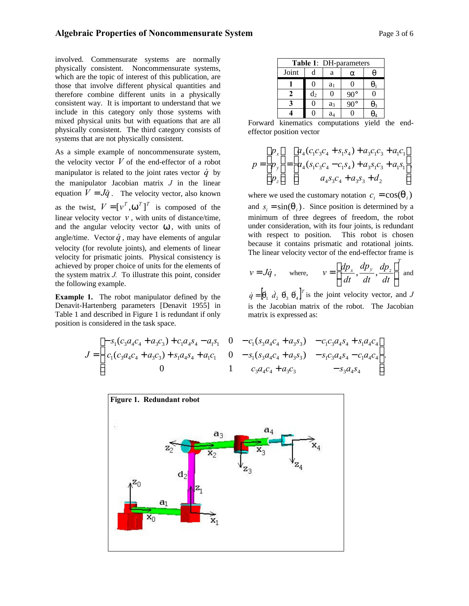involved. Commensurate systems are normally physically consistent. Noncommensurate systems, which are the topic of interest of this publication, are those that involve different physical quantities and therefore combine different units in a physically consistent way. It is important to understand that we include in this category only those systems with mixed physical units but with equations that are all physically consistent. The third category consists of systems that are not physically consistent.

As a simple example of noncommensurate system, the velocity vector  $V$  of the end-effector of a robot manipulator is related to the joint rates vector  $\dot{q}$  by the manipulator Jacobian matrix *J* in the linear equation  $V = J\dot{q}$ . The velocity vector, also known as the twist,  $V = [v^T, w^T]^T$  is composed of the linear velocity vector  $v$ , with units of distance/time, and the angular velocity vector *w*, with units of angle/time. Vector  $\dot{q}$ , may have elements of angular velocity (for revolute joints), and elements of linear velocity for prismatic joints. Physical consistency is achieved by proper choice of units for the elements of the system matrix *J.* To illustrate this point, consider the following example.

**Example 1.** The robot manipulator defined by the Denavit-Hartenberg parameters [Denavit 1955] in Table 1 and described in Figure 1 is redundant if only position is considered in the task space.

| Table 1: DH-parameters |                |                |          |            |
|------------------------|----------------|----------------|----------|------------|
| Joint                  | d              | a              | $\alpha$ | $\theta$   |
| 1                      | 0              | a <sub>1</sub> | 0        | $\theta_1$ |
| 2                      | d <sub>2</sub> | 0              | 90°      | 0          |
| 3                      | 0              | a <sub>3</sub> | 90°      | $\theta_3$ |
| 4                      | 0              | a <sub>4</sub> | 0        | $\theta_4$ |

Forward kinematics computations yield the endeffector position vector

$$
p = \begin{bmatrix} p_x \\ p_y \\ p_z \end{bmatrix} = \begin{bmatrix} a_4(c_1c_3c_4 + s_1s_4) + a_3c_1c_3 + a_1c_1 \\ a_4(s_1c_3c_4 - c_1s_4) + a_3s_1c_3 + a_1s_1 \\ a_4s_3c_4 + a_3s_3 + d_2 \end{bmatrix},
$$

where we used the customary notation  $c_i = \cos(q_i)$ and  $s_i = \sin(q_i)$ . Since position is determined by a minimum of three degrees of freedom, the robot under consideration, with its four joints, is redundant with respect to position. This robot is chosen because it contains prismatic and rotational joints. The linear velocity vector of the end-effector frame is

$$
v = J\dot{q}
$$
, where,  $v = \left[\frac{dp_x}{dt}, \frac{dp_y}{dt}, \frac{dp_z}{dt}\right]^T$  and

 $\dot{q} = \begin{bmatrix} \dot{q}_1 & \dot{d}_2 & \dot{q}_3 & \dot{q}_4 \end{bmatrix}^T$  is the joint velocity vector, and *J* is the Jacobian matrix of the robot. The Jacobian matrix is expressed as:

$$
J = \begin{bmatrix} -s_1(c_3a_4c_4 + a_3c_3) + c_1a_4s_4 - a_1s_1 & 0 & -c_1(s_3a_4c_4 + a_3s_3) & -c_1c_3a_4s_4 + s_1a_4c_4 \\ c_1(c_3a_4c_4 + a_3c_3) + s_1a_4s_4 + a_1c_1 & 0 & -s_1(s_3a_4c_4 + a_3s_3) & -s_1c_3a_4s_4 - c_1a_4c_4 \\ 0 & 1 & c_3a_4c_4 + a_3c_3 & -s_3a_4s_4 \end{bmatrix}.
$$

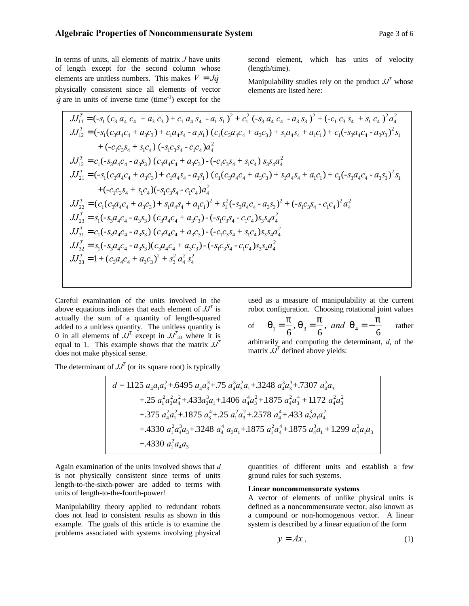In terms of units, all elements of matrix *J* have units of length except for the second column whose elements are unitless numbers. This makes  $V = J\dot{q}$ physically consistent since all elements of vector  $\dot{q}$  are in units of inverse time (time<sup>-1</sup>) except for the

second element, which has units of velocity (length/time).

Manipulability studies rely on the product  $JJ^T$  whose elements are listed here:

$$
JJ_{11}^{T} = (-s_{1} (c_{3} a_{4} c_{4} + a_{3} c_{3}) + c_{1} a_{4} s_{4} - a_{1} s_{1})^{2} + c_{1}^{2} (s_{3} a_{4} c_{4} - a_{3} s_{3})^{2} + (-c_{1} c_{3} s_{4} + s_{1} c_{4})^{2} a_{4}^{2}
$$
  
\n
$$
JJ_{12}^{T} = (-s_{1} (c_{3} a_{4} c_{4} + a_{3} c_{3}) + c_{1} a_{4} s_{4} - a_{1} s_{1}) (c_{1} (c_{3} a_{4} c_{4} + a_{3} c_{3}) + s_{1} a_{4} s_{4} + a_{1} c_{1}) + c_{1} (s_{3} a_{4} c_{4} - a_{3} s_{3})^{2} s_{1} + (-c_{1} c_{3} s_{4} + s_{1} c_{4}) (s_{1} c_{3} s_{4} - c_{1} c_{4}) a_{4}^{2}
$$
  
\n
$$
JJ_{12}^{T} = c_{1} (s_{3} a_{4} c_{4} - a_{3} s_{3}) (c_{3} a_{4} c_{4} + a_{3} c_{3}) - (-c_{1} c_{3} s_{4} + s_{1} c_{4}) s_{3} s_{4} a_{4}^{2}
$$
  
\n
$$
JJ_{21}^{T} = (-s_{1} (c_{3} a_{4} c_{4} + a_{3} c_{3}) + c_{1} a_{4} s_{4} - a_{1} s_{1}) (c_{1} (c_{3} a_{4} c_{4} + a_{3} c_{3}) + s_{1} a_{4} s_{4} + a_{1} c_{1}) + c_{1} (s_{3} a_{4} c_{4} - a_{3} s_{3})^{2} s_{1} + (-c_{1} c_{3} s_{4} + s_{1} c_{4}) (s_{1} c_{3} s_{4} - c_{1} c_{4}) a_{4}^{2}
$$
  
\n
$$
JJ_{22}^{T} = (c_{1} (c_{3} a_{4} c_{4} + a_{3} c_{3}) + s_{1} a_{4} s_{4} + a_{1} c_{1})^{2} + s_{1}^{2} (s_{3} a_{4} c_{4} - a_{3} s_{3})^{2} + (-s_{1} c_{3} s_{4
$$

Careful examination of the units involved in the above equations indicates that each element of  $JJ<sup>T</sup>$  is actually the sum of a quantity of length-squared added to a unitless quantity. The unitless quantity is 0 in all elements of  $JJ^T$  except in  $JJ^T_{33}$  where it is equal to 1. This example shows that the matrix  $JJ<sup>T</sup>$ does not make physical sense.

used as a measure of manipulability at the current robot configuration. Choosing rotational joint values

of 
$$
q_1 = \frac{p}{6}
$$
,  $q_3 = \frac{p}{6}$ , and  $q_4 = -\frac{p}{6}$  rather

arbitrarily and computing the determinant, *d*, of the matrix  $JJ<sup>T</sup>$  defined above yields:

The determinant of  $JJ<sup>T</sup>$  (or its square root) is typically

$$
d = 1.125 a_4 a_1 a_3^2 + .6495 a_4 a_3^3 + .75 a_4^3 a_3^2 a_1 + .3248 a_4^3 a_3^3 + .7307 a_4^3 a_3
$$
  
+ .25 a\_1^2 a\_3^2 a\_4^2 + .433 a\_3^3 a\_1 + .1406 a\_4^4 a\_3^2 + .1875 a\_4^2 a\_3^4 + .1172 a\_4^2 a\_3^2  
+ .375 a\_4^2 a\_1^2 + .1875 a\_3^4 + .25 a\_1^2 a\_3^2 + .2578 a\_4^4 + .433 a\_3^3 a\_1 a\_4^2  
+ .4330 a\_1^2 a\_4^3 a\_3 + .3248 a\_4^4 a\_3 a\_1 + .1875 a\_1^2 a\_4^4 + .1875 a\_4^3 a\_1 + 1.299 a\_4^2 a\_1 a\_3  
+ .4330 a\_1^2 a\_4 a\_3

Again examination of the units involved shows that *d* is not physically consistent since terms of units length-to-the-sixth-power are added to terms with units of length-to-the-fourth-power!

Manipulability theory applied to redundant robots does not lead to consistent results as shown in this example. The goals of this article is to examine the problems associated with systems involving physical

quantities of different units and establish a few ground rules for such systems.

#### **Linear noncommensurate systems**

A vector of elements of unlike physical units is defined as a noncommensurate vector, also known as a compound or non-homogenous vector. A linear system is described by a linear equation of the form

$$
y = Ax, \tag{1}
$$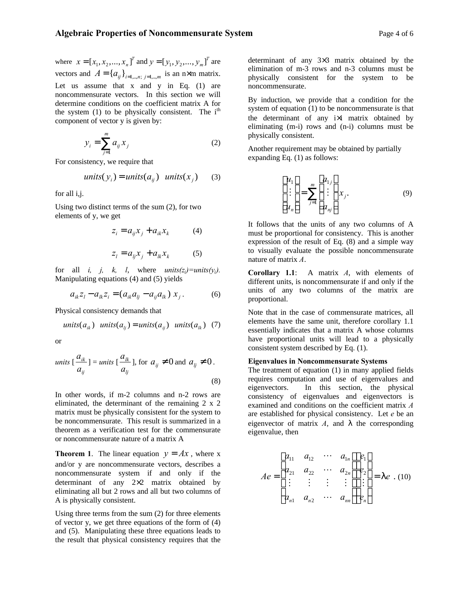$$
y_i = \sum_{j=1}^{m} a_{ij} x_j \tag{2}
$$

For consistency, we require that

*units*
$$
(y_i)
$$
 = *units* $(a_{ij})$  *units* $(x_j)$  (3)

for all i,j.

Using two distinct terms of the sum (2), for two elements of y, we get

$$
z_i = a_{ij} x_j + a_{ik} x_k \tag{4}
$$

$$
z_i = a_{ij} x_j + a_{ik} x_k \tag{5}
$$

for all *i*, *j*, *k*, *l*, where  $units(z_i)=units(y_i)$ . Manipulating equations (4) and (5) yields

$$
a_{ik}z_l - a_{lk}z_i = (a_{ik}a_{lj} - a_{ij}a_{lk}) x_j.
$$
 (6)

Physical consistency demands that

*units*(
$$
a_{ik}
$$
) *units*( $a_{lj}$ ) = *units*( $a_{ij}$ ) *units*( $a_{lk}$ ) (7)

or

*units* 
$$
\left[\frac{a_{ik}}{a_{ij}}\right]
$$
 = *units*  $\left[\frac{a_{lk}}{a_{ij}}\right]$ , for  $a_{ij} \neq 0$  and  $a_{ij} \neq 0$ .  
(8)

In other words, if m-2 columns and n-2 rows are eliminated, the determinant of the remaining 2 x 2 matrix must be physically consistent for the system to be noncommensurate. This result is summarized in a theorem as a verification test for the commensurate or noncommensurate nature of a matrix A

**Theorem 1.** The linear equation  $y = Ax$ , where x and/or y are noncommensurate vectors, describes a noncommensurate system if and only if the determinant of any 2×2 matrix obtained by eliminating all but 2 rows and all but two columns of A is physically consistent.

Using three terms from the sum (2) for three elements of vector y, we get three equations of the form of (4) and (5). Manipulating these three equations leads to the result that physical consistency requires that the

determinant of any 3×3 matrix obtained by the elimination of m-3 rows and n-3 columns must be physically consistent for the system to be noncommensurate.

By induction, we provide that a condition for the system of equation (1) to be noncommensurate is that the determinant of any i×i matrix obtained by eliminating (m-i) rows and (n-i) columns must be physically consistent.

Another requirement may be obtained by partially expanding Eq. (1) as follows:

$$
\begin{bmatrix} u_1 \\ \vdots \\ u_n \end{bmatrix} = \sum_{j=1}^m \begin{bmatrix} a_{1j} \\ \vdots \\ a_{nj} \end{bmatrix} x_j.
$$
 (9)

It follows that the units of any two columns of A must be proportional for consistency. This is another expression of the result of Eq. (8) and a simple way to visually evaluate the possible noncommensurate nature of matrix *A*.

**Corollary 1.1**: A matrix *A*, with elements of different units, is noncommensurate if and only if the units of any two columns of the matrix are proportional.

Note that in the case of commensurate matrices, all elements have the same unit, therefore corollary 1.1 essentially indicates that a matrix A whose columns have proportional units will lead to a physically consistent system described by Eq. (1).

#### **Eigenvalues in Noncommensurate Systems**

The treatment of equation (1) in many applied fields requires computation and use of eigenvalues and eigenvectors. In this section, the physical consistency of eigenvalues and eigenvectors is examined and conditions on the coefficient matrix *A* are established for physical consistency. Let *e* be an eigenvector of matrix *A*, and *l* the corresponding eigenvalue, then

$$
Ae = \begin{bmatrix} a_{11} & a_{12} & \cdots & a_{1n} \\ a_{21} & a_{22} & \cdots & a_{2n} \\ \vdots & \vdots & \vdots & \vdots \\ a_{n1} & a_{n2} & \cdots & a_{nn} \end{bmatrix} \begin{bmatrix} e_1 \\ e_2 \\ \vdots \\ e_n \end{bmatrix} = 1 e . (10)
$$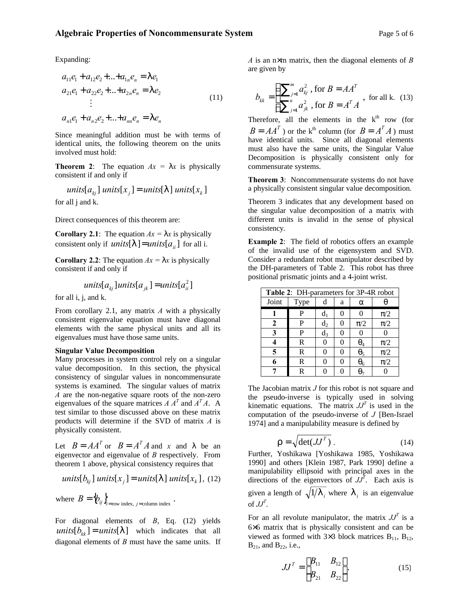## **Algebraic Properties of Noncommensurate System** Page 5 of 6

Expanding:

$$
a_{11}e_1 + a_{12}e_2 + ... + a_{1n}e_n = |e_1
$$
  
\n
$$
a_{21}e_1 + a_{22}e_2 + ... + a_{2n}e_n = |e_2
$$
  
\n
$$
\vdots
$$
  
\n
$$
a_{n1}e_1 + a_{n2}e_2 + ... + a_{nn}e_n = |e_n
$$
  
\n(11)

Since meaningful addition must be with terms of identical units, the following theorem on the units involved must hold:

**Theorem 2:** The equation  $Ax = |x|$  is physically consistent if and only if

*units*[
$$
a_{kj}
$$
] *units*[ $x_j$ ] = *units*[ $l$ ] *units*[ $x_k$ ] for all  $j$  and  $k$ .

Direct consequences of this theorem are:

**Corollary 2.1**: The equation  $Ax = |x|$  is physically consistent only if *units*  $\begin{bmatrix} l \end{bmatrix} = units[a_{ij}]$  for all i.

**Corollary 2.2**: The equation  $Ax = |x|$  is physically consistent if and only if

*units*[
$$
a_{kj}
$$
] *units*[ $a_{jk}$ ] = *units*[ $a_{ii}$ ]

for all i, j, and k.

From corollary 2.1, any matrix *A* with a physically consistent eigenvalue equation must have diagonal elements with the same physical units and all its eigenvalues must have those same units.

#### **Singular Value Decomposition**

Many processes in system control rely on a singular value decomposition. In this section, the physical consistency of singular values in noncommensurate systems is examined. The singular values of matrix *A* are the non-negative square roots of the non-zero eigenvalues of the square matrices  $A A^T$  and  $A^T A$ . A test similar to those discussed above on these matrix products will determine if the SVD of matrix *A* is physically consistent.

Let  $B = AA^T$  or  $B = A^T A$  and *x* and *l* be an eigenvector and eigenvalue of *B* respectively. From theorem 1 above, physical consistency requires that

*units*[
$$
b_{kj}
$$
] *units*[ $x_j$ ] = *units*[| ] *units*[ $x_k$ ], (12)

where  $B = \{b_{ij}\}\$ <sub>*i*=row index, *j*=column index.</sub>

For diagonal elements of *B*, Eq. (12) yields *units*[ $b_{kk}$ ] = *units*[ $| \cdot |$ ] which indicates that all diagonal elements of *B* must have the same units. If *A* is an n×m matrix, then the diagonal elements of *B* are given by

$$
b_{kk} = \begin{cases} \sum_{j=1}^{m} a_{kj}^2 \text{, for } B = AA^T\\ \sum_{j=1}^{n} a_{jk}^2 \text{, for } B = A^T A \end{cases}
$$
, for all k. (13)

Therefore, all the elements in the  $k^{\text{th}}$  row (for  $B = AA^T$ ) or the k<sup>th</sup> column (for  $B = A^T A$ ) must have identical units. Since all diagonal elements must also have the same units, the Singular Value Decomposition is physically consistent only for commensurate systems.

**Theorem 3**: Noncommensurate systems do not have a physically consistent singular value decomposition.

Theorem 3 indicates that any development based on the singular value decomposition of a matrix with different units is invalid in the sense of physical consistency.

**Example 2**: The field of robotics offers an example of the invalid use of the eigensystem and SVD. Consider a redundant robot manipulator described by the DH-parameters of Table 2. This robot has three positional prismatic joints and a 4-joint wrist.

| Table 2: DH-parameters for 3P-4R robot |      |       |   |              |         |  |  |
|----------------------------------------|------|-------|---|--------------|---------|--|--|
| Joint                                  | Type | đ     | a | $\alpha$     |         |  |  |
|                                        | P    | $d_1$ |   | 0            | $\pi/2$ |  |  |
| $\mathbf{2}$                           | P    | $d_2$ |   | $\pi/2$      | $\pi/2$ |  |  |
| 3                                      | P    | $d_3$ |   | $\theta$     | 0       |  |  |
| 4                                      | R    | 0     |   | $\theta_4$   | $\pi/2$ |  |  |
| 5                                      | R    | 0     |   | $\theta_5$   | $\pi/2$ |  |  |
| 6                                      | R    | 0     |   | $\theta_{6}$ | $\pi/2$ |  |  |
| 7                                      | R    | 0     |   |              |         |  |  |

The Jacobian matrix *J* for this robot is not square and the pseudo-inverse is typically used in solving kinematic equations. The matrix  $JJ<sup>T</sup>$  is used in the computation of the pseudo-inverse of *J* [Ben-Israel 1974] and a manipulability measure is defined by

$$
\Gamma = \sqrt{\det(JJ^T)}\,. \tag{14}
$$

Further, Yoshikawa [Yoshikawa 1985, Yoshikawa 1990] and others [Klein 1987, Park 1990] define a manipulability ellipsoid with principal axes in the directions of the eigenvectors of  $JJ^T$ . Each axis is given a length of  $\sqrt{1/l}$  *i* where  $l$  *i* is an eigenvalue of  $JJ^T$ .

For an all revolute manipulator, the matrix  $JJ<sup>T</sup>$  is a 6×6 matrix that is physically consistent and can be viewed as formed with  $3\times3$  block matrices  $B_{11}$ ,  $B_{12}$ ,  $B_{21}$ , and  $B_{22}$ , i.e.,

$$
JJ^{T} = \begin{bmatrix} B_{11} & B_{12} \\ B_{21} & B_{22} \end{bmatrix}.
$$
 (15)